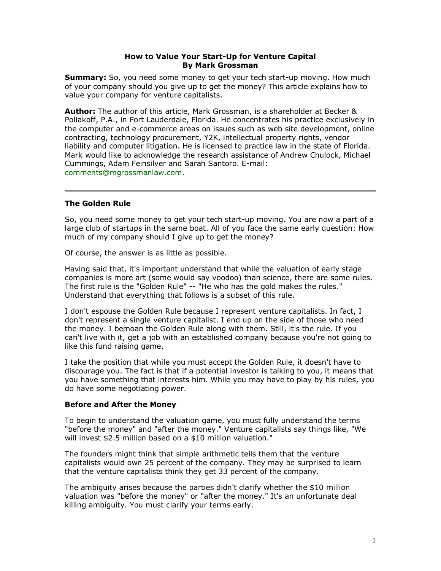# **How to Value Your Start-Up for Venture Capital By Mark Grossman**

**Summary:** So, you need some money to get your tech start-up moving. How much of your company should you give up to get the money? This article explains how to value your company for venture capitalists.

**Author:** The author of this article, Mark Grossman, is a shareholder at Becker & Poliakoff, P.A., in Fort Lauderdale, Florida. He concentrates his practice exclusively in the computer and e-commerce areas on issues such as web site development, online contracting, technology procurement, Y2K, intellectual property rights, vendor liability and computer litigation. He is licensed to practice law in the state of Florida. Mark would like to acknowledge the research assistance of Andrew Chulock, Michael Cummings, Adam Feinsilver and Sarah Santoro. E-mail: [comments@mgrossmanlaw.com.](mailto:comments@mgrossmanlaw.com?subject=GigaLaw.com article)

## **The Golden Rule**

So, you need some money to get your tech start-up moving. You are now a part of a large club of startups in the same boat. All of you face the same early question: How much of my company should I give up to get the money?

Of course, the answer is as little as possible.

Having said that, it's important understand that while the valuation of early stage companies is more art (some would say voodoo) than science, there are some rules. The first rule is the "Golden Rule" -- "He who has the gold makes the rules." Understand that everything that follows is a subset of this rule.

I don't espouse the Golden Rule because I represent venture capitalists. In fact, I don't represent a single venture capitalist. I end up on the side of those who need the money. I bemoan the Golden Rule along with them. Still, it's the rule. If you can't live with it, get a job with an established company because you're not going to like this fund raising game.

I take the position that while you must accept the Golden Rule, it doesn't have to discourage you. The fact is that if a potential investor is talking to you, it means that you have something that interests him. While you may have to play by his rules, you do have some negotiating power.

## **Before and After the Money**

To begin to understand the valuation game, you must fully understand the terms "before the money" and "after the money." Venture capitalists say things like, "We will invest \$2.5 million based on a \$10 million valuation."

The founders might think that simple arithmetic tells them that the venture capitalists would own 25 percent of the company. They may be surprised to learn that the venture capitalists think they get 33 percent of the company.

The ambiguity arises because the parties didn't clarify whether the \$10 million valuation was "before the money" or "after the money." It's an unfortunate deal killing ambiguity. You must clarify your terms early.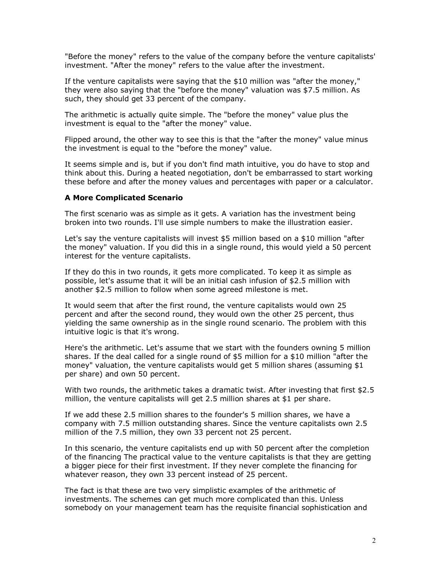"Before the money" refers to the value of the company before the venture capitalists' investment. "After the money" refers to the value after the investment.

If the venture capitalists were saying that the \$10 million was "after the money," they were also saying that the "before the money" valuation was \$7.5 million. As such, they should get 33 percent of the company.

The arithmetic is actually quite simple. The "before the money" value plus the investment is equal to the "after the money" value.

Flipped around, the other way to see this is that the "after the money" value minus the investment is equal to the "before the money" value.

It seems simple and is, but if you don't find math intuitive, you do have to stop and think about this. During a heated negotiation, don't be embarrassed to start working these before and after the money values and percentages with paper or a calculator.

## **A More Complicated Scenario**

The first scenario was as simple as it gets. A variation has the investment being broken into two rounds. I'll use simple numbers to make the illustration easier.

Let's say the venture capitalists will invest \$5 million based on a \$10 million "after the money" valuation. If you did this in a single round, this would yield a 50 percent interest for the venture capitalists.

If they do this in two rounds, it gets more complicated. To keep it as simple as possible, let's assume that it will be an initial cash infusion of \$2.5 million with another \$2.5 million to follow when some agreed milestone is met.

It would seem that after the first round, the venture capitalists would own 25 percent and after the second round, they would own the other 25 percent, thus yielding the same ownership as in the single round scenario. The problem with this intuitive logic is that it's wrong.

Here's the arithmetic. Let's assume that we start with the founders owning 5 million shares. If the deal called for a single round of \$5 million for a \$10 million "after the money" valuation, the venture capitalists would get 5 million shares (assuming \$1 per share) and own 50 percent.

With two rounds, the arithmetic takes a dramatic twist. After investing that first \$2.5 million, the venture capitalists will get 2.5 million shares at \$1 per share.

If we add these 2.5 million shares to the founder's 5 million shares, we have a company with 7.5 million outstanding shares. Since the venture capitalists own 2.5 million of the 7.5 million, they own 33 percent not 25 percent.

In this scenario, the venture capitalists end up with 50 percent after the completion of the financing The practical value to the venture capitalists is that they are getting a bigger piece for their first investment. If they never complete the financing for whatever reason, they own 33 percent instead of 25 percent.

The fact is that these are two very simplistic examples of the arithmetic of investments. The schemes can get much more complicated than this. Unless somebody on your management team has the requisite financial sophistication and